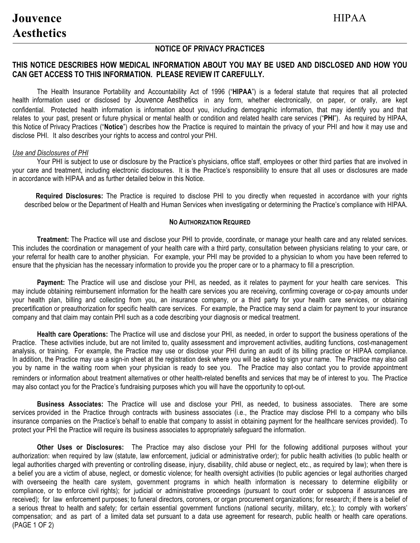## **NOTICE OF PRIVACY PRACTICES**

# **THIS NOTICE DESCRIBES HOW MEDICAL INFORMATION ABOUT YOU MAY BE USED AND DISCLOSED AND HOW YOU CAN GET ACCESS TO THIS INFORMATION. PLEASE REVIEW IT CAREFULLY.**

The Health Insurance Portability and Accountability Act of 1996 ("**HIPAA**") is a federal statute that requires that all protected health information used or disclosed by Jouvence Aesthetics in any form, whether electronically, on paper, or orally, are kept confidential. Protected health information is information about you, including demographic information, that may identify you and that relates to your past, present or future physical or mental health or condition and related health care services ("**PHI**"). As required by HIPAA, this Notice of Privacy Practices ("**Notice**") describes how the Practice is required to maintain the privacy of your PHI and how it may use and disclose PHI. It also describes your rights to access and control your PHI.

#### *Use and Disclosures of PHI*

Your PHI is subject to use or disclosure by the Practice's physicians, office staff, employees or other third parties that are involved in your care and treatment, including electronic disclosures. It is the Practice's responsibility to ensure that all uses or disclosures are made in accordance with HIPAA and as further detailed below in this Notice.

**Required Disclosures:** The Practice is required to disclose PHI to you directly when requested in accordance with your rights described below or the Department of Health and Human Services when investigating or determining the Practice's compliance with HIPAA.

#### **NO AUTHORIZATION REQUIRED**

**Treatment:** The Practice will use and disclose your PHI to provide, coordinate, or manage your health care and any related services. This includes the coordination or management of your health care with a third party, consultation between physicians relating to your care, or your referral for health care to another physician. For example, your PHI may be provided to a physician to whom you have been referred to ensure that the physician has the necessary information to provide you the proper care or to a pharmacy to fill a prescription.

**Payment:** The Practice will use and disclose your PHI, as needed, as it relates to payment for your health care services. This may include obtaining reimbursement information for the health care services you are receiving, confirming coverage or co-pay amounts under your health plan, billing and collecting from you, an insurance company, or a third party for your health care services, or obtaining precertification or preauthorization for specific health care services. For example, the Practice may send a claim for payment to your insurance company and that claim may contain PHI such as a code describing your diagnosis or medical treatment.

**Health care Operations:** The Practice will use and disclose your PHI, as needed, in order to support the business operations of the Practice. These activities include, but are not limited to, quality assessment and improvement activities, auditing functions, cost-management analysis, or training. For example, the Practice may use or disclose your PHI during an audit of its billing practice or HIPAA compliance. In addition, the Practice may use a sign-in sheet at the registration desk where you will be asked to sign your name. The Practice may also call you by name in the waiting room when your physician is ready to see you. The Practice may also contact you to provide appointment reminders or information about treatment alternatives or other health-related benefits and services that may be of interest to you. The Practice may also contact you for the Practice's fundraising purposes which you will have the opportunity to opt-out.

**Business Associates:** The Practice will use and disclose your PHI, as needed, to business associates. There are some services provided in the Practice through contracts with business associates (i.e., the Practice may disclose PHI to a company who bills insurance companies on the Practice's behalf to enable that company to assist in obtaining payment for the healthcare services provided). To protect your PHI the Practice will require its business associates to appropriately safeguard the information.

**Other Uses or Disclosures:** The Practice may also disclose your PHI for the following additional purposes without your authorization: when required by law (statute, law enforcement, judicial or administrative order); for public health activities (to public health or legal authorities charged with preventing or controlling disease, injury, disability, child abuse or neglect, etc., as required by law); when there is a belief you are a victim of abuse, neglect, or domestic violence; for health oversight activities (to public agencies or legal authorities charged with overseeing the health care system, government programs in which health information is necessary to determine eligibility or compliance, or to enforce civil rights); for judicial or administrative proceedings (pursuant to court order or subpoena if assurances are received); for law enforcement purposes; to funeral directors, coroners, or organ procurement organizations; for research; if there is a belief of a serious threat to health and safety; for certain essential government functions (national security, military, etc.); to comply with workers' compensation; and as part of a limited data set pursuant to a data use agreement for research, public health or health care operations. (PAGE 1 OF 2)